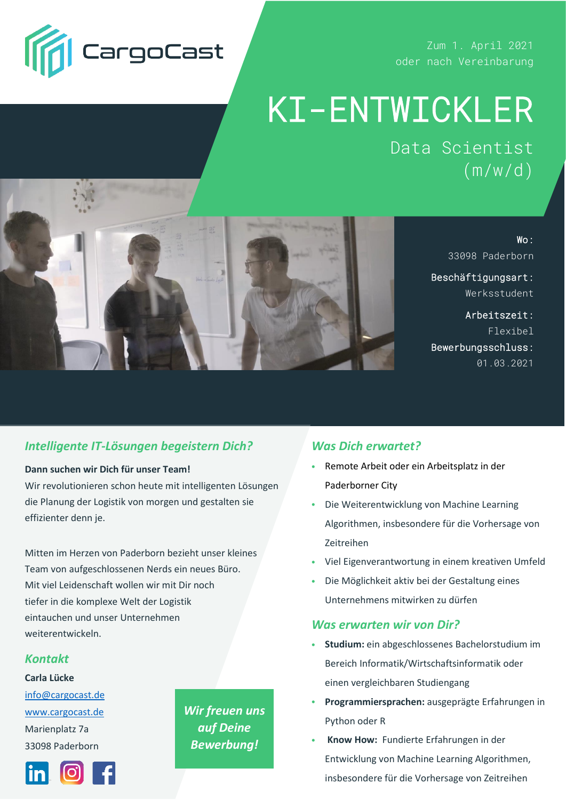

Zum 1. April 2021 oder nach Vereinbarung

# KI-ENTWICKLER

Data Scientist  $(m/w/d)$ 



Wo: 33098 Paderborn

Beschäftigungsart: Werksstudent

Arbeitszeit: Flexibel Bewerbungsschluss: 01.03.2021

## *Intelligente IT-Lösungen begeistern Dich?*

### **Dann suchen wir Dich für unser Team!**

Wir revolutionieren schon heute mit intelligenten Lösungen die Planung der Logistik von morgen und gestalten sie effizienter denn je.

Mitten im Herzen von Paderborn bezieht unser kleines Team von aufgeschlossenen Nerds ein neues Büro. Mit viel Leidenschaft wollen wir mit Dir noch tiefer in die komplexe Welt der Logistik eintauchen und unser Unternehmen weiterentwickeln.

## *Kontakt*

### **Carla Lücke**

[info@cargocast.de](mailto:info@cargocast.de) [www.cargocast.de](https://www.cargocast.de/) Marienplatz 7a 33098 Paderborn



*Wir freuen uns auf Deine Bewerbung!*

## *Was Dich erwartet?*

- Remote Arbeit oder ein Arbeitsplatz in der Paderborner City
- Die Weiterentwicklung von Machine Learning Algorithmen, insbesondere für die Vorhersage von Zeitreihen
- Viel Eigenverantwortung in einem kreativen Umfeld
- Die Möglichkeit aktiv bei der Gestaltung eines Unternehmens mitwirken zu dürfen

### **Was erwarten wir von Dir?**

- **Studium:** ein abgeschlossenes Bachelorstudium im Bereich Informatik/Wirtschaftsinformatik oder einen vergleichbaren Studiengang
- **Programmiersprachen:** ausgeprägte Erfahrungen in Python oder R
- **Know How:** Fundierte Erfahrungen in der Entwicklung von Machine Learning Algorithmen, insbesondere für die Vorhersage von Zeitreihen